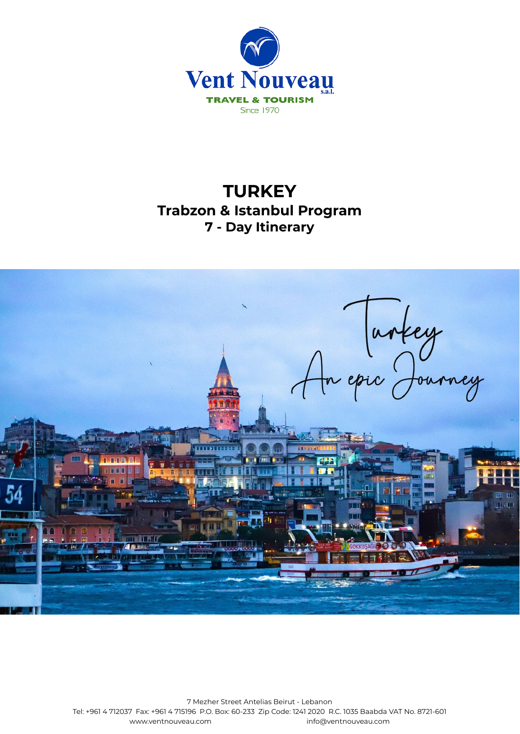

# **TURKEY Trabzon & Istanbul Program 7 - Day Itinerary**



7 Mezher Street Antelias Beirut - Lebanon Tel: +961 4 712037 Fax: +961 4 715196 P.O. Box: 60-233 Zip Code: 1241 2020 R.C. 1035 Baabda VAT No. 8721-601 [www.ventnouveau.com](http://www.ventnouveau.com) info@ventnouveau.com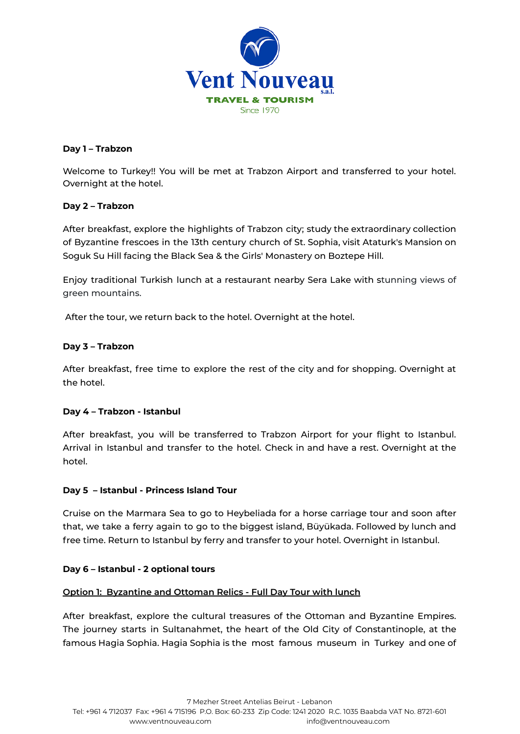

# **Day 1 – Trabzon**

Welcome to Turkey!! You will be met at Trabzon Airport and transferred to your hotel. Overnight at the hotel.

## **Day 2 – Trabzon**

After breakfast, explore the highlights of Trabzon city; study the extraordinary collection of Byzantine frescoes in the 13th century church of St. Sophia, visit Ataturk's Mansion on Soguk Su Hill facing the Black Sea & the Girls' Monastery on Boztepe Hill.

Enjoy traditional Turkish lunch at a restaurant nearby Sera Lake with stunning views of green mountains.

After the tour, we return back to the hotel. Overnight at the hotel.

## **Day 3 – Trabzon**

After breakfast, free time to explore the rest of the city and for shopping. Overnight at the hotel.

# **Day 4 – Trabzon - Istanbul**

After breakfast, you will be transferred to Trabzon Airport for your flight to Istanbul. Arrival in Istanbul and transfer to the hotel. Check in and have a rest. Overnight at the hotel.

#### **Day 5 – Istanbul - Princess Island Tour**

Cruise on the Marmara Sea to go to Heybeliada for a horse carriage tour and soon after that, we take a ferry again to go to the biggest island, Büyükada. Followed by lunch and free time. Return to Istanbul by ferry and transfer to your hotel. Overnight in Istanbul.

#### **Day 6 – Istanbul - 2 optional tours**

#### **Option 1: Byzantine and Ottoman Relics - Full Day Tour with lunch**

After breakfast, explore the cultural treasures of the Ottoman and Byzantine Empires. The journey starts in Sultanahmet, the heart of the Old City of Constantinople, at the famous Hagia Sophia. Hagia Sophia is the most famous museum in Turkey and one of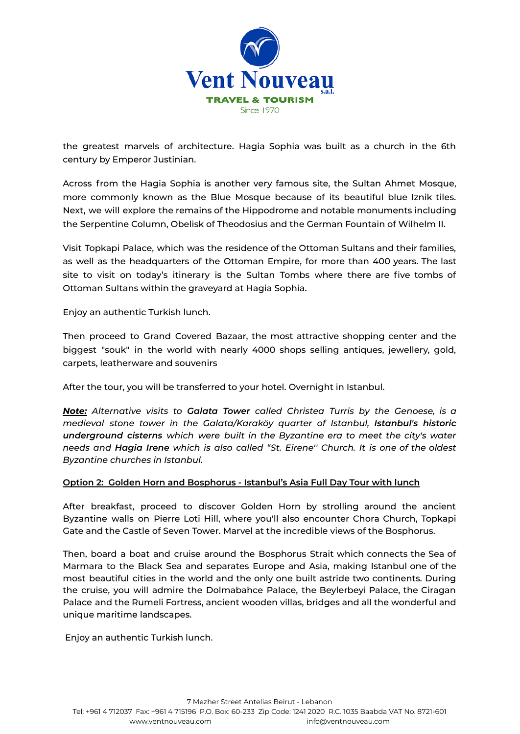

the greatest marvels of architecture. Hagia Sophia was built as a church in the 6th century by Emperor Justinian.

Across from the Hagia Sophia is another very famous site, the Sultan Ahmet Mosque, more commonly known as the Blue [Mosque](https://istanbul.com/things-to-do/blue-mosque) because of its beautiful blue Iznik tiles. Next, we will explore the remains of the Hippodrome and notable monuments including the Serpentine Column, Obelisk of Theodosius and the German Fountain of Wilhelm II.

Visit Topkapi Palace, which was the residence of the Ottoman Sultans and their families, as well as the headquarters of the Ottoman Empire, for more than 400 years. The last site to visit on today's itinerary is the Sultan Tombs where there are five tombs of Ottoman Sultans within the graveyard at Hagia Sophia.

Enjoy an authentic Turkish lunch.

Then proceed to Grand Covered Bazaar, the most attractive shopping center and the biggest "souk" in the world with nearly 4000 shops selling antiques, jewellery, gold, carpets, leatherware and souvenirs

After the tour, you will be transferred to your hotel. Overnight in Istanbul.

*Note: Alternative visits to Galata Tower called Christea Turris by the Genoese, is a medieval stone tower in the Galata/Karaköy quarter of Istanbul, Istanbul's historic underground cisterns which were built in the Byzantine era to meet the city's water needs and Hagia Irene which is also called "St. Eirene'' Church. It is one of the oldest Byzantine churches in Istanbul.*

#### **Option 2: Golden Horn and Bosphorus - Istanbul's Asia Full Day Tour with lunch**

After breakfast, proceed to discover Golden Horn by strolling around the ancient Byzantine walls on Pierre Loti Hill, where you'll also encounter Chora Church, Topkapi Gate and the Castle of Seven Tower. Marvel at the incredible views of the Bosphorus.

Then, board a boat and cruise around the Bosphorus Strait which connects the Sea of Marmara to the Black Sea and separates Europe and Asia, making Istanbul one of the most beautiful cities in the world and the only one built astride two continents. During the cruise, you will admire the Dolmabahce Palace, the Beylerbeyi Palace, the Ciragan Palace and the Rumeli Fortress, ancient wooden villas, bridges and all the wonderful and unique maritime landscapes.

Enjoy an authentic Turkish lunch.